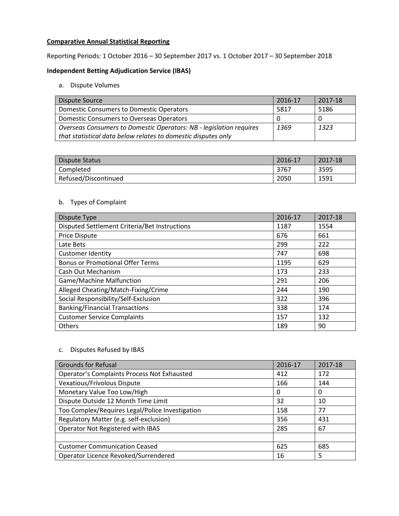# **Comparative Annual Statistical Reporting**

Reporting Periods: 1 October 2016 – 30 September 2017 vs. 1 October 2017 – 30 September 2018

# **Independent Betting Adjudication Service (IBAS)**

#### a. Dispute Volumes

| Dispute Source                                                      | 2016-17 | 2017-18 |
|---------------------------------------------------------------------|---------|---------|
| <b>Domestic Consumers to Domestic Operators</b>                     | 5817    | 5186    |
| Domestic Consumers to Overseas Operators                            |         |         |
| Overseas Consumers to Domestic Operators: NB - legislation requires | 1369    | 1323    |
| that statistical data below relates to domestic disputes only       |         |         |

| Dispute Status       | 2016-17 | 2017-18 |
|----------------------|---------|---------|
| Completed            | 3767    | 3595    |
| Refused/Discontinued | 2050    | 1591    |

# b. Types of Complaint

| Dispute Type                                  | 2016-17 | 2017-18 |
|-----------------------------------------------|---------|---------|
| Disputed Settlement Criteria/Bet Instructions | 1187    | 1554    |
| <b>Price Dispute</b>                          | 676     | 661     |
| Late Bets                                     | 299     | 222     |
| <b>Customer Identity</b>                      | 747     | 698     |
| <b>Bonus or Promotional Offer Terms</b>       | 1195    | 629     |
| Cash Out Mechanism                            | 173     | 233     |
| <b>Game/Machine Malfunction</b>               | 291     | 206     |
| Alleged Cheating/Match-Fixing/Crime           | 244     | 190     |
| Social Responsibility/Self-Exclusion          | 322     | 396     |
| <b>Banking/Financial Transactions</b>         | 338     | 174     |
| <b>Customer Service Complaints</b>            | 157     | 132     |
| <b>Others</b>                                 | 189     | 90      |

# c. Disputes Refused by IBAS

| <b>Grounds for Refusal</b>                      | 2016-17 | 2017-18 |
|-------------------------------------------------|---------|---------|
| Operator's Complaints Process Not Exhausted     | 412     | 172     |
| Vexatious/Frivolous Dispute                     | 166     | 144     |
| Monetary Value Too Low/High                     | 0       | 0       |
| Dispute Outside 12 Month Time Limit             | 32      | 10      |
| Too Complex/Requires Legal/Police Investigation | 158     | 77      |
| Regulatory Matter (e.g. self-exclusion)         | 356     | 431     |
| Operator Not Registered with IBAS               | 285     | 67      |
|                                                 |         |         |
| <b>Customer Communication Ceased</b>            | 625     | 685     |
| Operator Licence Revoked/Surrendered            | 16      | 5       |